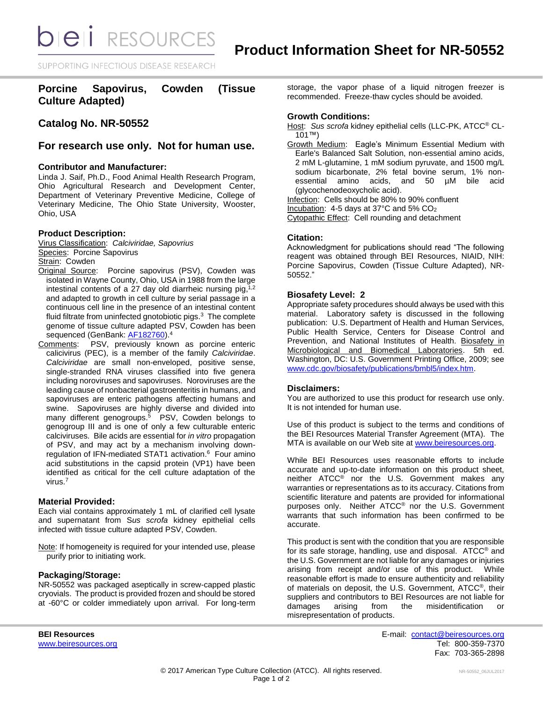**bieli** RESOURCES

SUPPORTING INFECTIOUS DISEASE RESEARCH

**Porcine Sapovirus, Cowden (Tissue Culture Adapted)**

**Catalog No. NR-50552**

# **For research use only. Not for human use.**

## **Contributor and Manufacturer:**

Linda J. Saif, Ph.D., Food Animal Health Research Program, Ohio Agricultural Research and Development Center, Department of Veterinary Preventive Medicine, College of Veterinary Medicine, The Ohio State University, Wooster, Ohio, USA

#### **Product Description:**

Virus Classification: *Calciviridae, Sapovrius* Species: Porcine Sapovirus Strain: Cowden

- Original Source: Porcine sapovirus (PSV), Cowden was isolated in Wayne County, Ohio, USA in 1988 from the large intestinal contents of a 27 day old diarrheic nursing pig,<sup>1,2</sup> and adapted to growth in cell culture by serial passage in a continuous cell line in the presence of an intestinal content fluid filtrate from uninfected gnotobiotic pigs.<sup>3</sup> The complete genome of tissue culture adapted PSV, Cowden has been sequenced (GenBank: [AF182760\)](https://www.ncbi.nlm.nih.gov/nuccore/?term=AF182760).<sup>4</sup>
- Comments: PSV, previously known as porcine enteric calicivirus (PEC), is a member of the family *Calciviridae*. *Calciviridae* are small non-enveloped, positive sense, single-stranded RNA viruses classified into five genera including noroviruses and sapoviruses. Noroviruses are the leading cause of nonbacterial gastroenteritis in humans, and sapoviruses are enteric pathogens affecting humans and swine. Sapoviruses are highly diverse and divided into many different genogroups. $5$  PSV, Cowden belongs to genogroup III and is one of only a few culturable enteric calciviruses. Bile acids are essential for *in vitro* propagation of PSV, and may act by a mechanism involving downregulation of IFN-mediated STAT1 activation. 6 Four amino acid substitutions in the capsid protein (VP1) have been identified as critical for the cell culture adaptation of the virus.<sup>7</sup>

## **Material Provided:**

Each vial contains approximately 1 mL of clarified cell lysate and supernatant from S*us scrofa* kidney epithelial cells infected with tissue culture adapted PSV, Cowden.

Note: If homogeneity is required for your intended use, please purify prior to initiating work.

## **Packaging/Storage:**

NR-50552 was packaged aseptically in screw-capped plastic cryovials. The product is provided frozen and should be stored at -60°C or colder immediately upon arrival. For long-term storage, the vapor phase of a liquid nitrogen freezer is recommended. Freeze-thaw cycles should be avoided.

## **Growth Conditions:**

Host: *Sus scrofa* kidney epithelial cells (LLC-PK, ATCC® CL-101™)

Growth Medium: Eagle's Minimum Essential Medium with Earle's Balanced Salt Solution, non-essential amino acids, 2 mM L-glutamine, 1 mM sodium pyruvate, and 1500 mg/L sodium bicarbonate, 2% fetal bovine serum, 1% nonessential amino acids, and 50 µM bile acid (glycochenodeoxycholic acid).

Infection: Cells should be 80% to 90% confluent Incubation: 4-5 days at 37°C and 5% CO<sup>2</sup>

Cytopathic Effect: Cell rounding and detachment

#### **Citation:**

Acknowledgment for publications should read "The following reagent was obtained through BEI Resources, NIAID, NIH: Porcine Sapovirus, Cowden (Tissue Culture Adapted), NR-50552."

## **Biosafety Level: 2**

Appropriate safety procedures should always be used with this material. Laboratory safety is discussed in the following publication: U.S. Department of Health and Human Services, Public Health Service, Centers for Disease Control and Prevention, and National Institutes of Health. Biosafety in Microbiological and Biomedical Laboratories. 5th ed. Washington, DC: U.S. Government Printing Office, 2009; see [www.cdc.gov/biosafety/publications/bmbl5/index.htm.](http://www.cdc.gov/biosafety/publications/bmbl5/index.htm)

#### **Disclaimers:**

You are authorized to use this product for research use only. It is not intended for human use.

Use of this product is subject to the terms and conditions of the BEI Resources Material Transfer Agreement (MTA). The MTA is available on our Web site at [www.beiresources.org.](http://www.beiresources.org/)

While BEI Resources uses reasonable efforts to include accurate and up-to-date information on this product sheet, neither ATCC® nor the U.S. Government makes any warranties or representations as to its accuracy. Citations from scientific literature and patents are provided for informational purposes only. Neither ATCC® nor the U.S. Government warrants that such information has been confirmed to be accurate.

This product is sent with the condition that you are responsible for its safe storage, handling, use and disposal. ATCC® and the U.S. Government are not liable for any damages or injuries arising from receipt and/or use of this product. While reasonable effort is made to ensure authenticity and reliability of materials on deposit, the U.S. Government, ATCC®, their suppliers and contributors to BEI Resources are not liable for damages arising from the misidentification or misrepresentation of products.

**BEI Resources** E-mail: [contact@beiresources.org](mailto:contact@beiresources.org) [www.beiresources.org](http://www.beiresources.org/) **Tel: 800-359-7370** Fax: 703-365-2898